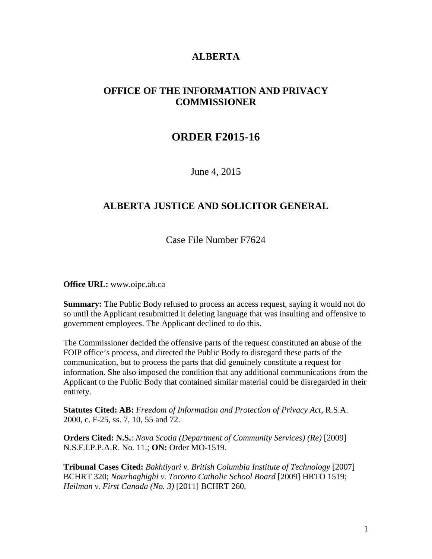### **ALBERTA**

## **OFFICE OF THE INFORMATION AND PRIVACY COMMISSIONER**

# **ORDER F2015-16**

June 4, 2015

### **ALBERTA JUSTICE AND SOLICITOR GENERAL**

Case File Number F7624

**Office URL:** www.oipc.ab.ca

**Summary:** The Public Body refused to process an access request, saying it would not do so until the Applicant resubmitted it deleting language that was insulting and offensive to government employees. The Applicant declined to do this.

The Commissioner decided the offensive parts of the request constituted an abuse of the FOIP office's process, and directed the Public Body to disregard these parts of the communication, but to process the parts that did genuinely constitute a request for information. She also imposed the condition that any additional communications from the Applicant to the Public Body that contained similar material could be disregarded in their entirety.

**Statutes Cited: AB:** *Freedom of Information and Protection of Privacy Act*, R.S.A. 2000, c. F-25, ss. 7, 10, 55 and 72.

**Orders Cited: N.S.**: *Nova Scotia (Department of Community Services) (Re)* [2009] N.S.F.I.P.P.A.R. No. 11.; **ON:** Order MO-1519.

**Tribunal Cases Cited:** *Bakhtiyari v. British Columbia Institute of Technology* [2007] BCHRT 320; *Nourhaghighi v. Toronto Catholic School Board* [2009] HRTO 1519; *Heilman v. First Canada (No. 3)* [2011] BCHRT 260.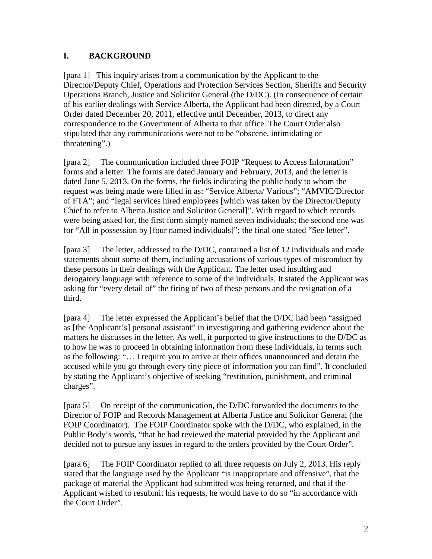### **I. BACKGROUND**

[para 1] This inquiry arises from a communication by the Applicant to the Director/Deputy Chief, Operations and Protection Services Section, Sheriffs and Security Operations Branch, Justice and Solicitor General (the D/DC). (In consequence of certain of his earlier dealings with Service Alberta, the Applicant had been directed, by a Court Order dated December 20, 2011, effective until December, 2013, to direct any correspondence to the Government of Alberta to that office. The Court Order also stipulated that any communications were not to be "obscene, intimidating or threatening".)

[para 2] The communication included three FOIP "Request to Access Information" forms and a letter. The forms are dated January and February, 2013, and the letter is dated June 5, 2013. On the forms, the fields indicating the public body to whom the request was being made were filled in as: "Service Alberta/ Various"; "AMVIC/Director of FTA"; and "legal services hired employees [which was taken by the Director/Deputy Chief to refer to Alberta Justice and Solicitor General]". With regard to which records were being asked for, the first form simply named seven individuals; the second one was for "All in possession by [four named individuals]"; the final one stated "See letter".

[para 3] The letter, addressed to the D/DC, contained a list of 12 individuals and made statements about some of them, including accusations of various types of misconduct by these persons in their dealings with the Applicant. The letter used insulting and derogatory language with reference to some of the individuals. It stated the Applicant was asking for "every detail of" the firing of two of these persons and the resignation of a third.

[para 4] The letter expressed the Applicant's belief that the D/DC had been "assigned as [the Applicant's] personal assistant" in investigating and gathering evidence about the matters he discusses in the letter. As well, it purported to give instructions to the D/DC as to how he was to proceed in obtaining information from these individuals, in terms such as the following: "… I require you to arrive at their offices unannounced and detain the accused while you go through every tiny piece of information you can find". It concluded by stating the Applicant's objective of seeking "restitution, punishment, and criminal charges".

[para 5] On receipt of the communication, the D/DC forwarded the documents to the Director of FOIP and Records Management at Alberta Justice and Solicitor General (the FOIP Coordinator). The FOIP Coordinator spoke with the D/DC, who explained, in the Public Body's words, "that he had reviewed the material provided by the Applicant and decided not to pursue any issues in regard to the orders provided by the Court Order".

[para 6] The FOIP Coordinator replied to all three requests on July 2, 2013. His reply stated that the language used by the Applicant "is inappropriate and offensive", that the package of material the Applicant had submitted was being returned, and that if the Applicant wished to resubmit his requests, he would have to do so "in accordance with the Court Order".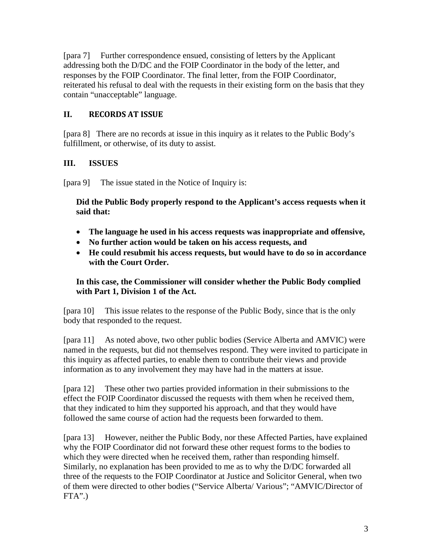[para 7] Further correspondence ensued, consisting of letters by the Applicant addressing both the D/DC and the FOIP Coordinator in the body of the letter, and responses by the FOIP Coordinator. The final letter, from the FOIP Coordinator, reiterated his refusal to deal with the requests in their existing form on the basis that they contain "unacceptable" language.

### **II. RECORDS AT ISSUE**

[para 8] There are no records at issue in this inquiry as it relates to the Public Body's fulfillment, or otherwise, of its duty to assist.

### **III. ISSUES**

[para 9] The issue stated in the Notice of Inquiry is:

**Did the Public Body properly respond to the Applicant's access requests when it said that:**

- **The language he used in his access requests was inappropriate and offensive,**
- **No further action would be taken on his access requests, and**
- **He could resubmit his access requests, but would have to do so in accordance with the Court Order.**

### **In this case, the Commissioner will consider whether the Public Body complied with Part 1, Division 1 of the Act.**

[para 10] This issue relates to the response of the Public Body, since that is the only body that responded to the request.

[para 11] As noted above, two other public bodies (Service Alberta and AMVIC) were named in the requests, but did not themselves respond. They were invited to participate in this inquiry as affected parties, to enable them to contribute their views and provide information as to any involvement they may have had in the matters at issue.

[para 12] These other two parties provided information in their submissions to the effect the FOIP Coordinator discussed the requests with them when he received them, that they indicated to him they supported his approach, and that they would have followed the same course of action had the requests been forwarded to them.

[para 13] However, neither the Public Body, nor these Affected Parties, have explained why the FOIP Coordinator did not forward these other request forms to the bodies to which they were directed when he received them, rather than responding himself. Similarly, no explanation has been provided to me as to why the D/DC forwarded all three of the requests to the FOIP Coordinator at Justice and Solicitor General, when two of them were directed to other bodies ("Service Alberta/ Various"; "AMVIC/Director of  $FTA$ ".)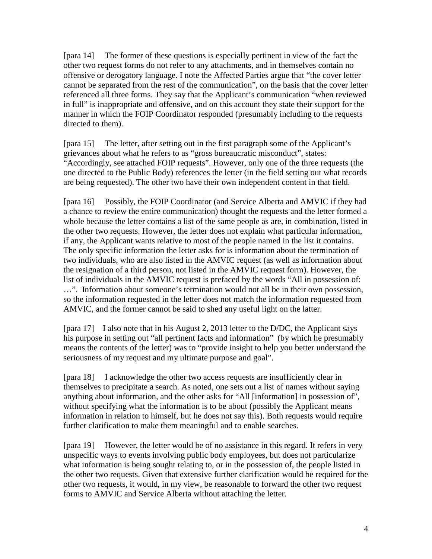[para 14] The former of these questions is especially pertinent in view of the fact the other two request forms do not refer to any attachments, and in themselves contain no offensive or derogatory language. I note the Affected Parties argue that "the cover letter cannot be separated from the rest of the communication", on the basis that the cover letter referenced all three forms. They say that the Applicant's communication "when reviewed in full" is inappropriate and offensive, and on this account they state their support for the manner in which the FOIP Coordinator responded (presumably including to the requests directed to them).

[para 15] The letter, after setting out in the first paragraph some of the Applicant's grievances about what he refers to as "gross bureaucratic misconduct", states: "Accordingly, see attached FOIP requests". However, only one of the three requests (the one directed to the Public Body) references the letter (in the field setting out what records are being requested). The other two have their own independent content in that field.

[para 16] Possibly, the FOIP Coordinator (and Service Alberta and AMVIC if they had a chance to review the entire communication) thought the requests and the letter formed a whole because the letter contains a list of the same people as are, in combination, listed in the other two requests. However, the letter does not explain what particular information, if any, the Applicant wants relative to most of the people named in the list it contains. The only specific information the letter asks for is information about the termination of two individuals, who are also listed in the AMVIC request (as well as information about the resignation of a third person, not listed in the AMVIC request form). However, the list of individuals in the AMVIC request is prefaced by the words "All in possession of: …". Information about someone's termination would not all be in their own possession, so the information requested in the letter does not match the information requested from AMVIC, and the former cannot be said to shed any useful light on the latter.

[para 17] I also note that in his August 2, 2013 letter to the D/DC, the Applicant says his purpose in setting out "all pertinent facts and information" (by which he presumably means the contents of the letter) was to "provide insight to help you better understand the seriousness of my request and my ultimate purpose and goal".

[para 18] I acknowledge the other two access requests are insufficiently clear in themselves to precipitate a search. As noted, one sets out a list of names without saying anything about information, and the other asks for "All [information] in possession of", without specifying what the information is to be about (possibly the Applicant means information in relation to himself, but he does not say this). Both requests would require further clarification to make them meaningful and to enable searches.

[para 19] However, the letter would be of no assistance in this regard. It refers in very unspecific ways to events involving public body employees, but does not particularize what information is being sought relating to, or in the possession of, the people listed in the other two requests. Given that extensive further clarification would be required for the other two requests, it would, in my view, be reasonable to forward the other two request forms to AMVIC and Service Alberta without attaching the letter.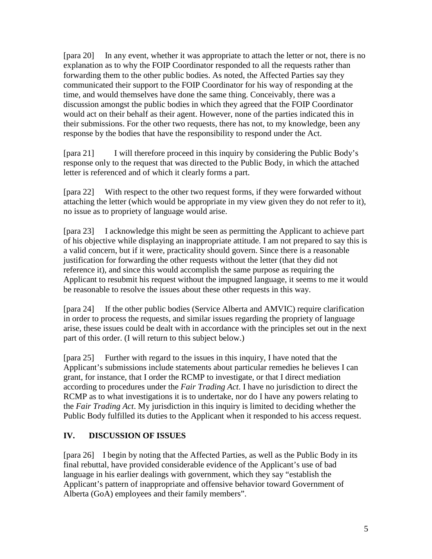[para 20] In any event, whether it was appropriate to attach the letter or not, there is no explanation as to why the FOIP Coordinator responded to all the requests rather than forwarding them to the other public bodies. As noted, the Affected Parties say they communicated their support to the FOIP Coordinator for his way of responding at the time, and would themselves have done the same thing. Conceivably, there was a discussion amongst the public bodies in which they agreed that the FOIP Coordinator would act on their behalf as their agent. However, none of the parties indicated this in their submissions. For the other two requests, there has not, to my knowledge, been any response by the bodies that have the responsibility to respond under the Act.

[para 21] I will therefore proceed in this inquiry by considering the Public Body's response only to the request that was directed to the Public Body, in which the attached letter is referenced and of which it clearly forms a part.

[para 22] With respect to the other two request forms, if they were forwarded without attaching the letter (which would be appropriate in my view given they do not refer to it), no issue as to propriety of language would arise.

[para 23] I acknowledge this might be seen as permitting the Applicant to achieve part of his objective while displaying an inappropriate attitude. I am not prepared to say this is a valid concern, but if it were, practicality should govern. Since there is a reasonable justification for forwarding the other requests without the letter (that they did not reference it), and since this would accomplish the same purpose as requiring the Applicant to resubmit his request without the impugned language, it seems to me it would be reasonable to resolve the issues about these other requests in this way.

[para 24] If the other public bodies (Service Alberta and AMVIC) require clarification in order to process the requests, and similar issues regarding the propriety of language arise, these issues could be dealt with in accordance with the principles set out in the next part of this order. (I will return to this subject below.)

[para 25] Further with regard to the issues in this inquiry, I have noted that the Applicant's submissions include statements about particular remedies he believes I can grant, for instance, that I order the RCMP to investigate, or that I direct mediation according to procedures under the *Fair Trading Act*. I have no jurisdiction to direct the RCMP as to what investigations it is to undertake, nor do I have any powers relating to the *Fair Trading Act*. My jurisdiction in this inquiry is limited to deciding whether the Public Body fulfilled its duties to the Applicant when it responded to his access request.

### **IV. DISCUSSION OF ISSUES**

[para 26] I begin by noting that the Affected Parties, as well as the Public Body in its final rebuttal, have provided considerable evidence of the Applicant's use of bad language in his earlier dealings with government, which they say "establish the Applicant's pattern of inappropriate and offensive behavior toward Government of Alberta (GoA) employees and their family members".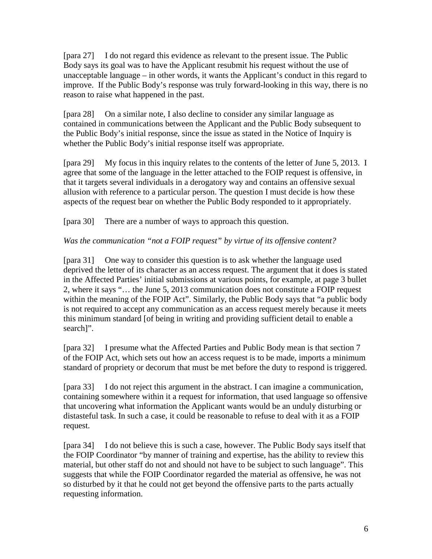[para 27] I do not regard this evidence as relevant to the present issue. The Public Body says its goal was to have the Applicant resubmit his request without the use of unacceptable language – in other words, it wants the Applicant's conduct in this regard to improve. If the Public Body's response was truly forward-looking in this way, there is no reason to raise what happened in the past.

[para 28] On a similar note, I also decline to consider any similar language as contained in communications between the Applicant and the Public Body subsequent to the Public Body's initial response, since the issue as stated in the Notice of Inquiry is whether the Public Body's initial response itself was appropriate.

[para 29] My focus in this inquiry relates to the contents of the letter of June 5, 2013. I agree that some of the language in the letter attached to the FOIP request is offensive, in that it targets several individuals in a derogatory way and contains an offensive sexual allusion with reference to a particular person. The question I must decide is how these aspects of the request bear on whether the Public Body responded to it appropriately.

[para 30] There are a number of ways to approach this question.

### *Was the communication "not a FOIP request" by virtue of its offensive content?*

[para 31] One way to consider this question is to ask whether the language used deprived the letter of its character as an access request. The argument that it does is stated in the Affected Parties' initial submissions at various points, for example, at page 3 bullet 2, where it says "… the June 5, 2013 communication does not constitute a FOIP request within the meaning of the FOIP Act". Similarly, the Public Body says that "a public body is not required to accept any communication as an access request merely because it meets this minimum standard [of being in writing and providing sufficient detail to enable a search]".

[para 32] I presume what the Affected Parties and Public Body mean is that section 7 of the FOIP Act, which sets out how an access request is to be made, imports a minimum standard of propriety or decorum that must be met before the duty to respond is triggered.

[para 33] I do not reject this argument in the abstract. I can imagine a communication, containing somewhere within it a request for information, that used language so offensive that uncovering what information the Applicant wants would be an unduly disturbing or distasteful task. In such a case, it could be reasonable to refuse to deal with it as a FOIP request.

[para 34] I do not believe this is such a case, however. The Public Body says itself that the FOIP Coordinator "by manner of training and expertise, has the ability to review this material, but other staff do not and should not have to be subject to such language". This suggests that while the FOIP Coordinator regarded the material as offensive, he was not so disturbed by it that he could not get beyond the offensive parts to the parts actually requesting information.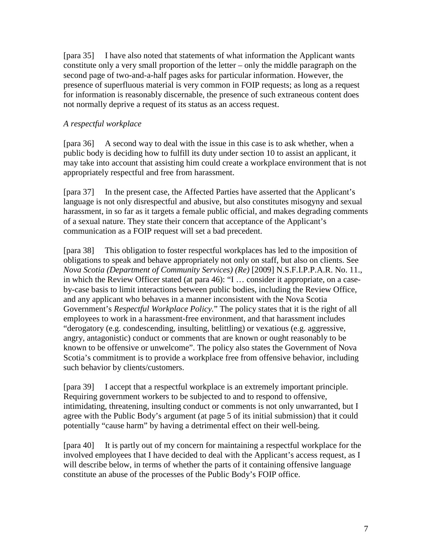[para 35] I have also noted that statements of what information the Applicant wants constitute only a very small proportion of the letter – only the middle paragraph on the second page of two-and-a-half pages asks for particular information. However, the presence of superfluous material is very common in FOIP requests; as long as a request for information is reasonably discernable, the presence of such extraneous content does not normally deprive a request of its status as an access request.

#### *A respectful workplace*

[para 36] A second way to deal with the issue in this case is to ask whether, when a public body is deciding how to fulfill its duty under section 10 to assist an applicant, it may take into account that assisting him could create a workplace environment that is not appropriately respectful and free from harassment.

[para 37] In the present case, the Affected Parties have asserted that the Applicant's language is not only disrespectful and abusive, but also constitutes misogyny and sexual harassment, in so far as it targets a female public official, and makes degrading comments of a sexual nature. They state their concern that acceptance of the Applicant's communication as a FOIP request will set a bad precedent.

[para 38] This obligation to foster respectful workplaces has led to the imposition of obligations to speak and behave appropriately not only on staff, but also on clients. See *Nova Scotia (Department of Community Services) (Re)* [2009] N.S.F.I.P.P.A.R. No. 11., in which the Review Officer stated (at para 46): "I … consider it appropriate, on a caseby-case basis to limit interactions between public bodies, including the Review Office, and any applicant who behaves in a manner inconsistent with the Nova Scotia Government's *Respectful Workplace Policy.*" The policy states that it is the right of all employees to work in a harassment-free environment, and that harassment includes "derogatory (e.g. condescending, insulting, belittling) or vexatious (e.g. aggressive, angry, antagonistic) conduct or comments that are known or ought reasonably to be known to be offensive or unwelcome". The policy also states the Government of Nova Scotia's commitment is to provide a workplace free from offensive behavior, including such behavior by clients/customers.

[para 39] I accept that a respectful workplace is an extremely important principle. Requiring government workers to be subjected to and to respond to offensive, intimidating, threatening, insulting conduct or comments is not only unwarranted, but I agree with the Public Body's argument (at page 5 of its initial submission) that it could potentially "cause harm" by having a detrimental effect on their well-being.

[para 40] It is partly out of my concern for maintaining a respectful workplace for the involved employees that I have decided to deal with the Applicant's access request, as I will describe below, in terms of whether the parts of it containing offensive language constitute an abuse of the processes of the Public Body's FOIP office.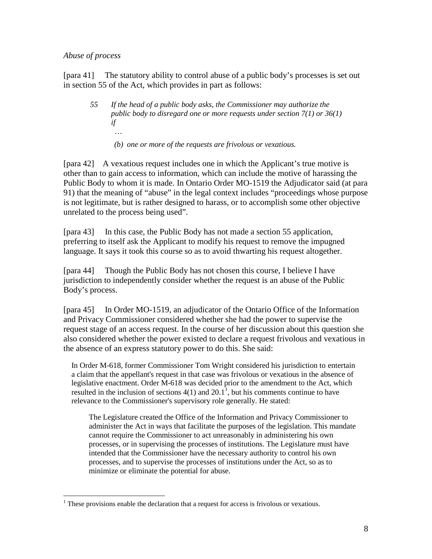#### *Abuse of process*

 $\overline{a}$ 

[para 41] The statutory ability to control abuse of a public body's processes is set out in section 55 of the Act, which provides in part as follows:

- *55 If the head of a public body asks, the Commissioner may authorize the public body to disregard one or more requests under section 7(1) or 36(1) if …*
	- *(b) one or more of the requests are frivolous or vexatious.*

[para 42] A vexatious request includes one in which the Applicant's true motive is other than to gain access to information, which can include the motive of harassing the Public Body to whom it is made. In Ontario Order MO-1519 the Adjudicator said (at para 91) that the meaning of "abuse" in the legal context includes "proceedings whose purpose is not legitimate, but is rather designed to harass, or to accomplish some other objective unrelated to the process being used".

[para 43] In this case, the Public Body has not made a section 55 application, preferring to itself ask the Applicant to modify his request to remove the impugned language. It says it took this course so as to avoid thwarting his request altogether.

[para 44] Though the Public Body has not chosen this course, I believe I have jurisdiction to independently consider whether the request is an abuse of the Public Body's process.

[para 45] In Order MO-1519, an adjudicator of the Ontario Office of the Information and Privacy Commissioner considered whether she had the power to supervise the request stage of an access request. In the course of her discussion about this question she also considered whether the power existed to declare a request frivolous and vexatious in the absence of an express statutory power to do this. She said:

In Order M-618, former Commissioner Tom Wright considered his jurisdiction to entertain a claim that the appellant's request in that case was frivolous or vexatious in the absence of legislative enactment. Order M-618 was decided prior to the amendment to the Act, which resulted in the inclusion of sections  $4(1)$  $4(1)$  $4(1)$  and  $20.1^{\overline{1}}$ , but his comments continue to have relevance to the Commissioner's supervisory role generally. He stated:

The Legislature created the Office of the Information and Privacy Commissioner to administer the Act in ways that facilitate the purposes of the legislation. This mandate cannot require the Commissioner to act unreasonably in administering his own processes, or in supervising the processes of institutions. The Legislature must have intended that the Commissioner have the necessary authority to control his own processes, and to supervise the processes of institutions under the Act, so as to minimize or eliminate the potential for abuse.

<span id="page-7-0"></span> $<sup>1</sup>$  These provisions enable the declaration that a request for access is frivolous or vexatious.</sup>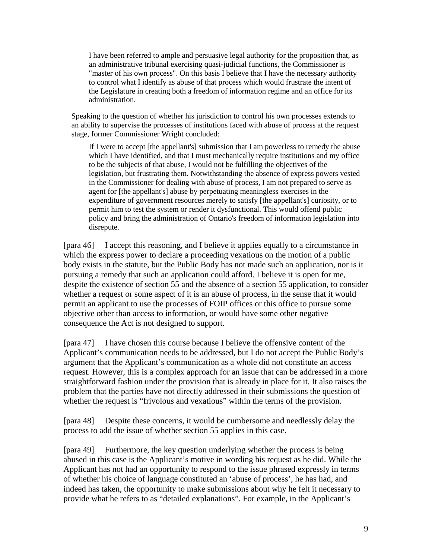I have been referred to ample and persuasive legal authority for the proposition that, as an administrative tribunal exercising quasi-judicial functions, the Commissioner is "master of his own process". On this basis I believe that I have the necessary authority to control what I identify as abuse of that process which would frustrate the intent of the Legislature in creating both a freedom of information regime and an office for its administration.

Speaking to the question of whether his jurisdiction to control his own processes extends to an ability to supervise the processes of institutions faced with abuse of process at the request stage, former Commissioner Wright concluded:

If I were to accept [the appellant's] submission that I am powerless to remedy the abuse which I have identified, and that I must mechanically require institutions and my office to be the subjects of that abuse, I would not be fulfilling the objectives of the legislation, but frustrating them. Notwithstanding the absence of express powers vested in the Commissioner for dealing with abuse of process, I am not prepared to serve as agent for [the appellant's] abuse by perpetuating meaningless exercises in the expenditure of government resources merely to satisfy [the appellant's] curiosity, or to permit him to test the system or render it dysfunctional. This would offend public policy and bring the administration of Ontario's freedom of information legislation into disrepute.

[para 46] I accept this reasoning, and I believe it applies equally to a circumstance in which the express power to declare a proceeding vexatious on the motion of a public body exists in the statute, but the Public Body has not made such an application, nor is it pursuing a remedy that such an application could afford. I believe it is open for me, despite the existence of section 55 and the absence of a section 55 application, to consider whether a request or some aspect of it is an abuse of process, in the sense that it would permit an applicant to use the processes of FOIP offices or this office to pursue some objective other than access to information, or would have some other negative consequence the Act is not designed to support.

[para 47] I have chosen this course because I believe the offensive content of the Applicant's communication needs to be addressed, but I do not accept the Public Body's argument that the Applicant's communication as a whole did not constitute an access request. However, this is a complex approach for an issue that can be addressed in a more straightforward fashion under the provision that is already in place for it. It also raises the problem that the parties have not directly addressed in their submissions the question of whether the request is "frivolous and vexatious" within the terms of the provision.

[para 48] Despite these concerns, it would be cumbersome and needlessly delay the process to add the issue of whether section 55 applies in this case.

[para 49] Furthermore, the key question underlying whether the process is being abused in this case is the Applicant's motive in wording his request as he did. While the Applicant has not had an opportunity to respond to the issue phrased expressly in terms of whether his choice of language constituted an 'abuse of process', he has had, and indeed has taken, the opportunity to make submissions about why he felt it necessary to provide what he refers to as "detailed explanations". For example, in the Applicant's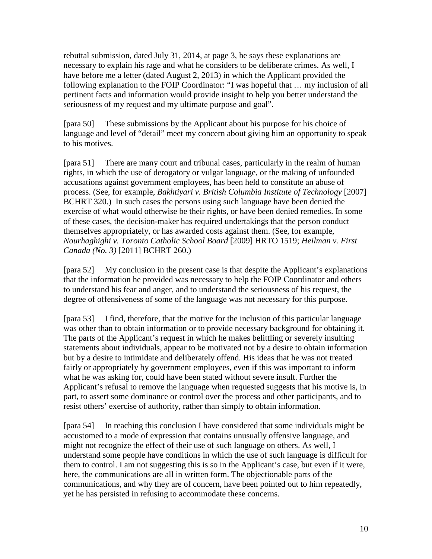rebuttal submission, dated July 31, 2014, at page 3, he says these explanations are necessary to explain his rage and what he considers to be deliberate crimes. As well, I have before me a letter (dated August 2, 2013) in which the Applicant provided the following explanation to the FOIP Coordinator: "I was hopeful that … my inclusion of all pertinent facts and information would provide insight to help you better understand the seriousness of my request and my ultimate purpose and goal".

[para 50] These submissions by the Applicant about his purpose for his choice of language and level of "detail" meet my concern about giving him an opportunity to speak to his motives.

[para 51] There are many court and tribunal cases, particularly in the realm of human rights, in which the use of derogatory or vulgar language, or the making of unfounded accusations against government employees, has been held to constitute an abuse of process. (See, for example, *Bakhtiyari v. British Columbia Institute of Technology* [2007] BCHRT 320.) In such cases the persons using such language have been denied the exercise of what would otherwise be their rights, or have been denied remedies. In some of these cases, the decision-maker has required undertakings that the person conduct themselves appropriately, or has awarded costs against them. (See, for example, *Nourhaghighi v. Toronto Catholic School Board* [2009] HRTO 1519; *Heilman v. First Canada (No. 3)* [2011] BCHRT 260.)

[para 52] My conclusion in the present case is that despite the Applicant's explanations that the information he provided was necessary to help the FOIP Coordinator and others to understand his fear and anger, and to understand the seriousness of his request, the degree of offensiveness of some of the language was not necessary for this purpose.

[para 53] I find, therefore, that the motive for the inclusion of this particular language was other than to obtain information or to provide necessary background for obtaining it. The parts of the Applicant's request in which he makes belittling or severely insulting statements about individuals, appear to be motivated not by a desire to obtain information but by a desire to intimidate and deliberately offend. His ideas that he was not treated fairly or appropriately by government employees, even if this was important to inform what he was asking for, could have been stated without severe insult. Further the Applicant's refusal to remove the language when requested suggests that his motive is, in part, to assert some dominance or control over the process and other participants, and to resist others' exercise of authority, rather than simply to obtain information.

[para 54] In reaching this conclusion I have considered that some individuals might be accustomed to a mode of expression that contains unusually offensive language, and might not recognize the effect of their use of such language on others. As well, I understand some people have conditions in which the use of such language is difficult for them to control. I am not suggesting this is so in the Applicant's case, but even if it were, here, the communications are all in written form. The objectionable parts of the communications, and why they are of concern, have been pointed out to him repeatedly, yet he has persisted in refusing to accommodate these concerns.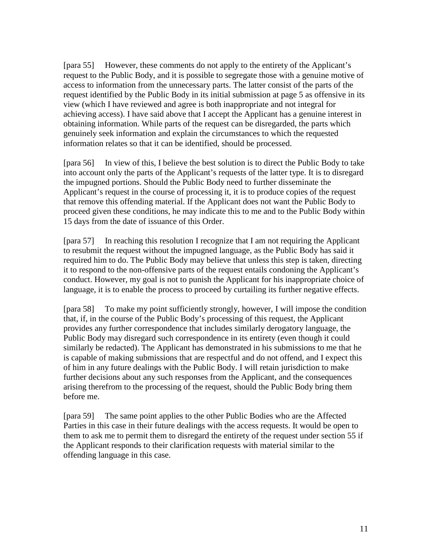[para 55] However, these comments do not apply to the entirety of the Applicant's request to the Public Body, and it is possible to segregate those with a genuine motive of access to information from the unnecessary parts. The latter consist of the parts of the request identified by the Public Body in its initial submission at page 5 as offensive in its view (which I have reviewed and agree is both inappropriate and not integral for achieving access). I have said above that I accept the Applicant has a genuine interest in obtaining information. While parts of the request can be disregarded, the parts which genuinely seek information and explain the circumstances to which the requested information relates so that it can be identified, should be processed.

[para 56] In view of this, I believe the best solution is to direct the Public Body to take into account only the parts of the Applicant's requests of the latter type. It is to disregard the impugned portions. Should the Public Body need to further disseminate the Applicant's request in the course of processing it, it is to produce copies of the request that remove this offending material. If the Applicant does not want the Public Body to proceed given these conditions, he may indicate this to me and to the Public Body within 15 days from the date of issuance of this Order.

[para 57] In reaching this resolution I recognize that I am not requiring the Applicant to resubmit the request without the impugned language, as the Public Body has said it required him to do. The Public Body may believe that unless this step is taken, directing it to respond to the non-offensive parts of the request entails condoning the Applicant's conduct. However, my goal is not to punish the Applicant for his inappropriate choice of language, it is to enable the process to proceed by curtailing its further negative effects.

[para 58] To make my point sufficiently strongly, however, I will impose the condition that, if, in the course of the Public Body's processing of this request, the Applicant provides any further correspondence that includes similarly derogatory language, the Public Body may disregard such correspondence in its entirety (even though it could similarly be redacted). The Applicant has demonstrated in his submissions to me that he is capable of making submissions that are respectful and do not offend, and I expect this of him in any future dealings with the Public Body. I will retain jurisdiction to make further decisions about any such responses from the Applicant, and the consequences arising therefrom to the processing of the request, should the Public Body bring them before me.

[para 59] The same point applies to the other Public Bodies who are the Affected Parties in this case in their future dealings with the access requests. It would be open to them to ask me to permit them to disregard the entirety of the request under section 55 if the Applicant responds to their clarification requests with material similar to the offending language in this case.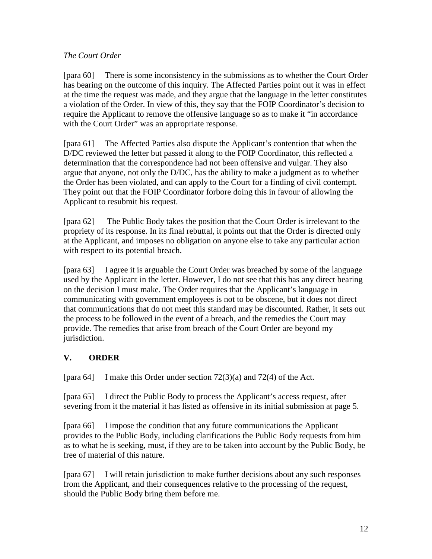#### *The Court Order*

[para 60] There is some inconsistency in the submissions as to whether the Court Order has bearing on the outcome of this inquiry. The Affected Parties point out it was in effect at the time the request was made, and they argue that the language in the letter constitutes a violation of the Order. In view of this, they say that the FOIP Coordinator's decision to require the Applicant to remove the offensive language so as to make it "in accordance with the Court Order" was an appropriate response.

[para 61] The Affected Parties also dispute the Applicant's contention that when the D/DC reviewed the letter but passed it along to the FOIP Coordinator, this reflected a determination that the correspondence had not been offensive and vulgar. They also argue that anyone, not only the D/DC, has the ability to make a judgment as to whether the Order has been violated, and can apply to the Court for a finding of civil contempt. They point out that the FOIP Coordinator forbore doing this in favour of allowing the Applicant to resubmit his request.

[para 62] The Public Body takes the position that the Court Order is irrelevant to the propriety of its response. In its final rebuttal, it points out that the Order is directed only at the Applicant, and imposes no obligation on anyone else to take any particular action with respect to its potential breach.

[para 63] I agree it is arguable the Court Order was breached by some of the language used by the Applicant in the letter. However, I do not see that this has any direct bearing on the decision I must make. The Order requires that the Applicant's language in communicating with government employees is not to be obscene, but it does not direct that communications that do not meet this standard may be discounted. Rather, it sets out the process to be followed in the event of a breach, and the remedies the Court may provide. The remedies that arise from breach of the Court Order are beyond my jurisdiction.

# **V. ORDER**

[para 64] I make this Order under section 72(3)(a) and 72(4) of the Act.

[para 65] I direct the Public Body to process the Applicant's access request, after severing from it the material it has listed as offensive in its initial submission at page 5.

[para 66] I impose the condition that any future communications the Applicant provides to the Public Body, including clarifications the Public Body requests from him as to what he is seeking, must, if they are to be taken into account by the Public Body, be free of material of this nature.

[para 67] I will retain jurisdiction to make further decisions about any such responses from the Applicant, and their consequences relative to the processing of the request, should the Public Body bring them before me.